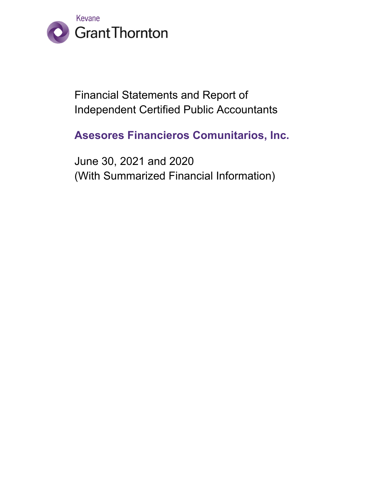

Financial Statements and Report of Independent Certified Public Accountants

**Asesores Financieros Comunitarios, Inc.** 

June 30, 2021 and 2020 (With Summarized Financial Information)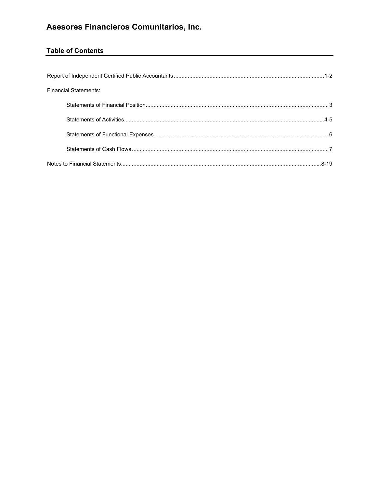# **Table of Contents**

| <b>Financial Statements:</b> |  |
|------------------------------|--|
|                              |  |
|                              |  |
|                              |  |
|                              |  |
|                              |  |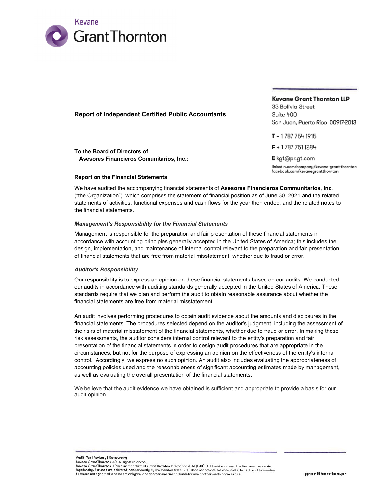

#### **Kevane Grant Thornton LLP**

| <b>Report of Independent Certified Public Accountants</b> | 33 Bolivia Street<br>Suite 400<br>San Juan, Puerto Rico 00917-2013             |
|-----------------------------------------------------------|--------------------------------------------------------------------------------|
|                                                           | $T + 17877541915$                                                              |
| To the Board of Directors of                              | $F + 17877511284$                                                              |
| <b>Asesores Financieros Comunitarios, Inc.:</b>           | <b>E</b> kgt@pr.gt.com                                                         |
|                                                           | linkedin.com/company/kevane-grant-thornton<br>facebook.com/kevanegrantthornton |

We have audited the accompanying financial statements of **Asesores Financieros Communitarios, Inc**. ("the Organization"), which comprises the statement of financial position as of June 30, 2021 and the related statements of activities, functional expenses and cash flows for the year then ended, and the related notes to the financial statements.

#### *Management's Responsibility for the Financial Statements*

Management is responsible for the preparation and fair presentation of these financial statements in accordance with accounting principles generally accepted in the United States of America; this includes the design, implementation, and maintenance of internal control relevant to the preparation and fair presentation of financial statements that are free from material misstatement, whether due to fraud or error.

#### *Auditor's Responsibility*

**Report on the Financial Statements** 

Our responsibility is to express an opinion on these financial statements based on our audits. We conducted our audits in accordance with auditing standards generally accepted in the United States of America. Those standards require that we plan and perform the audit to obtain reasonable assurance about whether the financial statements are free from material misstatement.

An audit involves performing procedures to obtain audit evidence about the amounts and disclosures in the financial statements. The procedures selected depend on the auditor's judgment, including the assessment of the risks of material misstatement of the financial statements, whether due to fraud or error. In making those risk assessments, the auditor considers internal control relevant to the entity's preparation and fair presentation of the financial statements in order to design audit procedures that are appropriate in the circumstances, but not for the purpose of expressing an opinion on the effectiveness of the entity's internal control. Accordingly, we express no such opinion. An audit also includes evaluating the appropriateness of accounting policies used and the reasonableness of significant accounting estimates made by management, as well as evaluating the overall presentation of the financial statements.

We believe that the audit evidence we have obtained is sufficient and appropriate to provide a basis for our audit opinion.

Audit | Tax | Advisory | Outsourcing Kevane Grant Thornton LLP. All rights reserved

Kevane Grant Thornton LLP is a member firm of Grant Thornton International Ltd (GTIL). GTIL and each member firm are a seporate<br>legal entity. Services are delivered independently by the member firms. GTIL does not provide firms are not agents of, and do not obligate, one another and are not liable for one another's acts or omissions.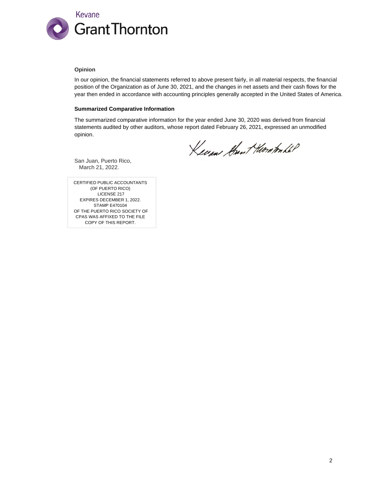

#### **Opinion**

In our opinion, the financial statements referred to above present fairly, in all material respects, the financial position of the Organization as of June 30, 2021, and the changes in net assets and their cash flows for the year then ended in accordance with accounting principles generally accepted in the United States of America.

#### **Summarized Comparative Information**

The summarized comparative information for the year ended June 30, 2020 was derived from financial statements audited by other auditors, whose report dated February 26, 2021, expressed an unmodified opinion.

Keeper Sant Hernton Khl

San Juan, Puerto Rico, March 21, 2022.

CERTIFIED PUBLIC ACCOUNTANTS (OF PUERTO RICO) LICENSE 217 EXPIRES DECEMBER 1, 2022. STAMP E470104 OF THE PUERTO RICO SOCIETY OF CPAS WAS AFFIXED TO THE FILE COPY OF THIS REPORT.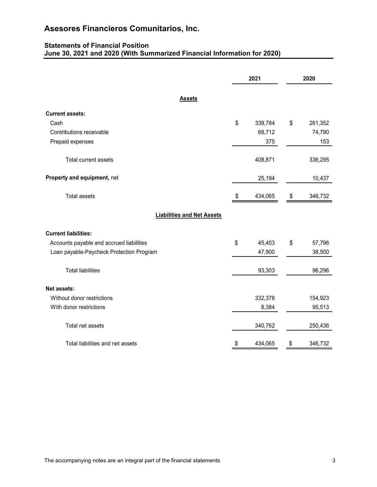## **Statements of Financial Position June 30, 2021 and 2020 (With Summarized Financial Information for 2020)**

|                                          | 2021          | 2020 |         |  |
|------------------------------------------|---------------|------|---------|--|
| <b>Assets</b>                            |               |      |         |  |
| <b>Current assets:</b>                   |               |      |         |  |
| Cash                                     | \$<br>339,784 | \$   | 261,352 |  |
| Contributions receivable                 | 68,712        |      | 74,790  |  |
| Prepaid expenses                         | 375           |      | 153     |  |
| Total current assets                     | 408,871       |      | 336,295 |  |
| Property and equipment, net              | 25,194        |      | 10,437  |  |
| <b>Total assets</b>                      | \$<br>434,065 | \$   | 346,732 |  |
| <b>Liabilities and Net Assets</b>        |               |      |         |  |
| <b>Current liabilities:</b>              |               |      |         |  |
| Accounts payable and accrued liabilities | \$<br>45,403  | \$   | 57,796  |  |
| Loan payable-Paycheck Protection Program | 47,900        |      | 38,500  |  |
| <b>Total liabilities</b>                 | 93,303        |      | 96,296  |  |
| Net assets:                              |               |      |         |  |
| Without donor restrictions               | 332,378       |      | 154,923 |  |
| With donor restrictions                  | 8,384         |      | 95,513  |  |
| Total net assets                         | 340,762       |      | 250,436 |  |
| Total liabilities and net assets         | \$<br>434,065 | \$   | 346,732 |  |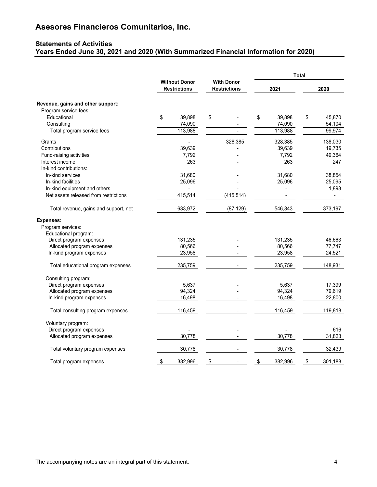# **Statements of Activities Years Ended June 30, 2021 and 2020 (With Summarized Financial Information for 2020)**

|                                       |    |                                             |                                          |            | <b>Total</b> |         |    |         |  |  |
|---------------------------------------|----|---------------------------------------------|------------------------------------------|------------|--------------|---------|----|---------|--|--|
|                                       |    | <b>Without Donor</b><br><b>Restrictions</b> | <b>With Donor</b><br><b>Restrictions</b> |            | 2021         |         |    | 2020    |  |  |
| Revenue, gains and other support:     |    |                                             |                                          |            |              |         |    |         |  |  |
| Program service fees:                 |    |                                             |                                          |            |              |         |    |         |  |  |
| Educational                           | \$ | 39,898                                      | \$                                       |            | \$           | 39,898  | \$ | 45,870  |  |  |
| Consulting                            |    | 74,090                                      |                                          |            |              | 74,090  |    | 54,104  |  |  |
| Total program service fees            |    | 113,988                                     |                                          |            |              | 113,988 |    | 99,974  |  |  |
| Grants                                |    |                                             |                                          | 328,385    |              | 328,385 |    | 138,030 |  |  |
| Contributions                         |    | 39,639                                      |                                          |            |              | 39,639  |    | 19,735  |  |  |
| Fund-raising activities               |    | 7,792                                       |                                          |            |              | 7,792   |    | 49,364  |  |  |
| Interest income                       |    | 263                                         |                                          |            |              | 263     |    | 247     |  |  |
| In-kind contributions:                |    |                                             |                                          |            |              |         |    |         |  |  |
| In-kind services                      |    | 31,680                                      |                                          |            |              | 31,680  |    | 38,854  |  |  |
| In-kind facilities                    |    | 25,096                                      |                                          |            |              | 25,096  |    | 25,095  |  |  |
| In-kind equipment and others          |    | $\blacksquare$                              |                                          |            |              |         |    | 1,898   |  |  |
| Net assets released from restrictions |    | 415,514                                     |                                          | (415, 514) |              |         |    |         |  |  |
| Total revenue, gains and support, net |    | 633,972                                     |                                          | (87, 129)  |              | 546,843 |    | 373,197 |  |  |
| <b>Expenses:</b>                      |    |                                             |                                          |            |              |         |    |         |  |  |
| Program services:                     |    |                                             |                                          |            |              |         |    |         |  |  |
| Educational program:                  |    |                                             |                                          |            |              |         |    |         |  |  |
| Direct program expenses               |    | 131,235                                     |                                          |            |              | 131,235 |    | 46,663  |  |  |
| Allocated program expenses            |    | 80,566                                      |                                          |            |              | 80,566  |    | 77,747  |  |  |
| In-kind program expenses              |    | 23,958                                      |                                          |            |              | 23,958  |    | 24,521  |  |  |
| Total educational program expenses    |    | 235,759                                     |                                          |            |              | 235,759 |    | 148,931 |  |  |
| Consulting program:                   |    |                                             |                                          |            |              |         |    |         |  |  |
| Direct program expenses               |    | 5,637                                       |                                          |            |              | 5,637   |    | 17,399  |  |  |
| Allocated program expenses            |    | 94,324                                      |                                          |            |              | 94,324  |    | 79,619  |  |  |
| In-kind program expenses              |    | 16,498                                      |                                          |            |              | 16,498  |    | 22,800  |  |  |
| Total consulting program expenses     |    | 116,459                                     |                                          |            |              | 116,459 |    | 119,818 |  |  |
| Voluntary program:                    |    |                                             |                                          |            |              |         |    |         |  |  |
| Direct program expenses               |    |                                             |                                          |            |              |         |    | 616     |  |  |
| Allocated program expenses            |    | 30,778                                      |                                          |            |              | 30,778  |    | 31,823  |  |  |
| Total voluntary program expenses      |    | 30,778                                      |                                          |            |              | 30,778  |    | 32,439  |  |  |
| Total program expenses                | \$ | 382,996                                     | \$                                       |            | \$           | 382,996 | \$ | 301,188 |  |  |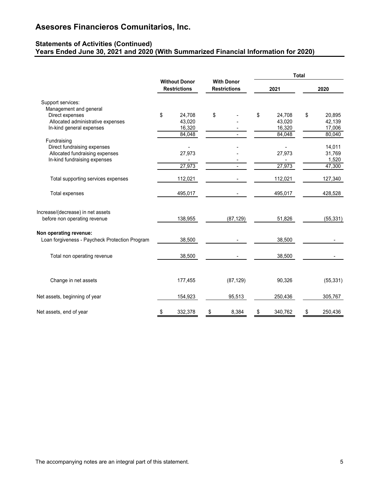## **Statements of Activities (Continued) Years Ended June 30, 2021 and 2020 (With Summarized Financial Information for 2020)**

|                                                |    |                                                                                                 |    |           | <b>Total</b> |                  |    |                  |  |  |
|------------------------------------------------|----|-------------------------------------------------------------------------------------------------|----|-----------|--------------|------------------|----|------------------|--|--|
|                                                |    | <b>Without Donor</b><br><b>With Donor</b><br><b>Restrictions</b><br><b>Restrictions</b><br>2021 |    |           |              |                  |    | 2020             |  |  |
| Support services:                              |    |                                                                                                 |    |           |              |                  |    |                  |  |  |
| Management and general                         |    |                                                                                                 |    |           |              |                  |    |                  |  |  |
| Direct expenses                                | \$ | 24,708                                                                                          | \$ |           | \$           | 24,708           | \$ | 20,895           |  |  |
| Allocated administrative expenses              |    | 43,020                                                                                          |    |           |              | 43,020<br>16,320 |    | 42,139<br>17,006 |  |  |
| In-kind general expenses                       |    | 16,320<br>84,048                                                                                |    |           |              | 84,048           |    | 80,040           |  |  |
| Fundraising                                    |    |                                                                                                 |    |           |              |                  |    |                  |  |  |
| Direct fundraising expenses                    |    |                                                                                                 |    |           |              |                  |    | 14,011           |  |  |
| Allocated fundraising expenses                 |    | 27,973                                                                                          |    |           |              | 27,973           |    | 31,769           |  |  |
| In-kind fundraising expenses                   |    |                                                                                                 |    |           |              |                  |    | 1,520            |  |  |
|                                                |    | 27,973                                                                                          |    |           |              | 27,973           |    | 47,300           |  |  |
| Total supporting services expenses             |    | 112,021                                                                                         |    |           |              | 112,021          |    | 127,340          |  |  |
| Total expenses                                 |    | 495,017                                                                                         |    |           |              | 495,017          |    | 428,528          |  |  |
| Increase/(decrease) in net assets              |    |                                                                                                 |    |           |              |                  |    |                  |  |  |
| before non operating revenue                   |    | 138,955                                                                                         |    | (87, 129) |              | 51,826           |    | (55, 331)        |  |  |
| Non operating revenue:                         |    |                                                                                                 |    |           |              |                  |    |                  |  |  |
| Loan forgiveness - Paycheck Protection Program |    | 38,500                                                                                          |    |           |              | 38,500           |    |                  |  |  |
| Total non operating revenue                    |    | 38,500                                                                                          |    |           |              | 38,500           |    |                  |  |  |
| Change in net assets                           |    | 177,455                                                                                         |    | (87, 129) |              | 90,326           |    | (55, 331)        |  |  |
|                                                |    |                                                                                                 |    |           |              |                  |    |                  |  |  |
| Net assets, beginning of year                  |    | 154,923                                                                                         |    | 95,513    |              | 250,436          |    | 305,767          |  |  |
| Net assets, end of year                        | \$ | 332,378                                                                                         | \$ | 8,384     | \$           | 340,762          | \$ | 250,436          |  |  |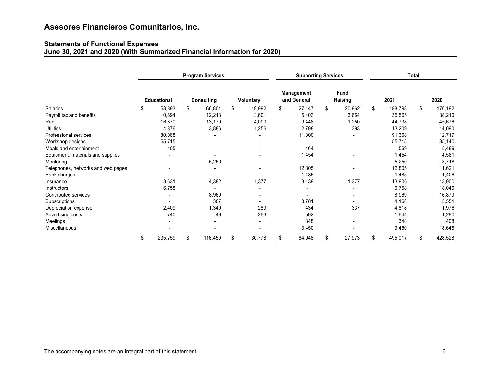### **Statements of Functional Expenses**

**June 30, 2021 and 2020 (With Summarized Financial Information for 2020)**

|                                    | <b>Program Services</b> |                    |    | <b>Supporting Services</b> |    |                  |    | Total                            |    |                        |    |         |    |         |
|------------------------------------|-------------------------|--------------------|----|----------------------------|----|------------------|----|----------------------------------|----|------------------------|----|---------|----|---------|
|                                    |                         | <b>Educational</b> |    | Consulting                 |    | <b>Voluntary</b> |    | <b>Management</b><br>and General |    | <b>Fund</b><br>Raising |    | 2021    |    | 2020    |
| <b>Salaries</b>                    |                         | 53,893             | \$ | 66,804                     | \$ | 19,992           | \$ | 27,147                           | \$ | 20,962                 | \$ | 188,798 | \$ | 176,192 |
| Payroll tax and benefits           |                         | 10,694             |    | 12,213                     |    | 3,601            |    | 5,403                            |    | 3,654                  |    | 35,565  |    | 38,210  |
| Rent                               |                         | 16,870             |    | 13,170                     |    | 4,000            |    | 9,448                            |    | 1,250                  |    | 44,738  |    | 45,676  |
| <b>Utilities</b>                   |                         | 4,876              |    | 3,886                      |    | 1,256            |    | 2,798                            |    | 393                    |    | 13,209  |    | 14,090  |
| Professional services              |                         | 80,068             |    |                            |    |                  |    | 11,300                           |    |                        |    | 91,368  |    | 12,717  |
| Workshop designs                   |                         | 55,715             |    |                            |    |                  |    |                                  |    |                        |    | 55,715  |    | 35,140  |
| Meals and entertainment            |                         | 105                |    |                            |    |                  |    | 464                              |    |                        |    | 569     |    | 5,489   |
| Equipment, materials and supplies  |                         |                    |    |                            |    |                  |    | 1,454                            |    |                        |    | 1,454   |    | 4,581   |
| Mentoring                          |                         |                    |    | 5,250                      |    |                  |    |                                  |    |                        |    | 5,250   |    | 8,718   |
| Telephones, networks and web pages |                         |                    |    |                            |    |                  |    | 12,805                           |    |                        |    | 12,805  |    | 11,621  |
| Bank charges                       |                         |                    |    |                            |    |                  |    | 1,485                            |    |                        |    | 1,485   |    | 1,406   |
| Insurance                          |                         | 3,631              |    | 4,382                      |    | 1,377            |    | 3,139                            |    | 1,377                  |    | 13,906  |    | 13,900  |
| <b>Instructors</b>                 |                         | 6,758              |    |                            |    |                  |    |                                  |    |                        |    | 6,758   |    | 18,046  |
| Contributed services               |                         |                    |    | 8,969                      |    |                  |    |                                  |    |                        |    | 8,969   |    | 16,879  |
| Subscriptions                      |                         |                    |    | 387                        |    |                  |    | 3,781                            |    |                        |    | 4,168   |    | 3,551   |
| Depreciation expense               |                         | 2,409              |    | ,349                       |    | 289              |    | 434                              |    | 337                    |    | 4,818   |    | 1,976   |
| Advertising costs                  |                         | 740                |    | 49                         |    | 263              |    | 592                              |    |                        |    | 1,644   |    | 1,280   |
| Meetings                           |                         |                    |    |                            |    |                  |    | 348                              |    |                        |    | 348     |    | 408     |
| Miscellaneous                      |                         |                    |    |                            |    |                  |    | 3,450                            |    |                        |    | 3,450   |    | 18,648  |
|                                    | \$                      | 235,759            |    | 116,459                    | S  | 30,778           | S  | 84,048                           |    | 27,973                 |    | 495,017 |    | 428,528 |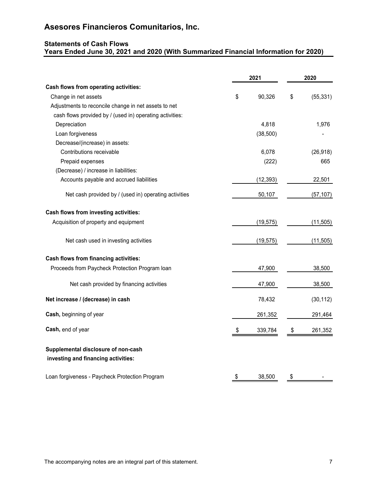## **Statements of Cash Flows Years Ended June 30, 2021 and 2020 (With Summarized Financial Information for 2020)**

|                                                                            | 2021 |           | 2020 |           |  |
|----------------------------------------------------------------------------|------|-----------|------|-----------|--|
| Cash flows from operating activities:                                      |      |           |      |           |  |
| Change in net assets                                                       | \$   | 90,326    | \$   | (55, 331) |  |
| Adjustments to reconcile change in net assets to net                       |      |           |      |           |  |
| cash flows provided by / (used in) operating activities:                   |      |           |      |           |  |
| Depreciation                                                               |      | 4,818     |      | 1,976     |  |
| Loan forgiveness                                                           |      | (38,500)  |      |           |  |
| Decrease/(increase) in assets:                                             |      |           |      |           |  |
| Contributions receivable                                                   |      | 6,078     |      | (26, 918) |  |
| Prepaid expenses                                                           |      | (222)     |      | 665       |  |
| (Decrease) / increase in liabilities:                                      |      |           |      |           |  |
| Accounts payable and accrued liabilities                                   |      | (12, 393) |      | 22,501    |  |
| Net cash provided by / (used in) operating activities                      |      | 50,107    |      | (57, 107) |  |
| Cash flows from investing activities:                                      |      |           |      |           |  |
| Acquisition of property and equipment                                      |      | (19, 575) |      | (11, 505) |  |
| Net cash used in investing activities                                      |      | (19, 575) |      | (11, 505) |  |
| Cash flows from financing activities:                                      |      |           |      |           |  |
| Proceeds from Paycheck Protection Program Ioan                             |      | 47,900    |      | 38,500    |  |
| Net cash provided by financing activities                                  |      | 47,900    |      | 38,500    |  |
| Net increase / (decrease) in cash                                          |      | 78,432    |      | (30, 112) |  |
| Cash, beginning of year                                                    |      | 261,352   |      | 291,464   |  |
| Cash, end of year                                                          | \$   | 339,784   | \$   | 261,352   |  |
| Supplemental disclosure of non-cash<br>investing and financing activities: |      |           |      |           |  |
| Loan forgiveness - Paycheck Protection Program                             | \$   | 38,500    | \$   |           |  |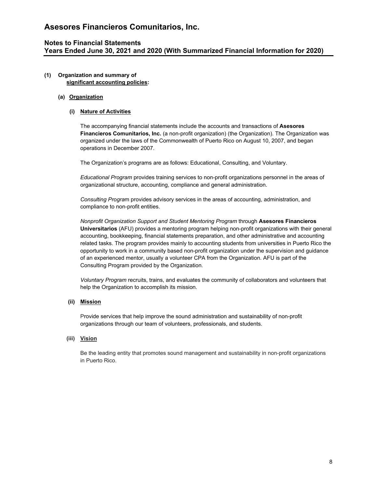### **Notes to Financial Statements Years Ended June 30, 2021 and 2020 (With Summarized Financial Information for 2020)**

**(1) Organization and summary of significant accounting policies:** 

#### **(a) Organization**

#### **(i) Nature of Activities**

The accompanying financial statements include the accounts and transactions of **Asesores Financieros Comunitarios, Inc.** (a non-profit organization) (the Organization). The Organization was organized under the laws of the Commonwealth of Puerto Rico on August 10, 2007, and began operations in December 2007.

The Organization's programs are as follows: Educational, Consulting, and Voluntary.

*Educational Program* provides training services to non-profit organizations personnel in the areas of organizational structure, accounting, compliance and general administration.

*Consulting Progra*m provides advisory services in the areas of accounting, administration, and compliance to non-profit entities.

*Nonprofit Organization Support and Student Mentoring Program* through **Asesores Financieros Universitarios** (AFU) provides a mentoring program helping non-profit organizations with their general accounting, bookkeeping, financial statements preparation, and other administrative and accounting related tasks. The program provides mainly to accounting students from universities in Puerto Rico the opportunity to work in a community based non-profit organization under the supervision and guidance of an experienced mentor, usually a volunteer CPA from the Organization. AFU is part of the Consulting Program provided by the Organization.

*Voluntary Program* recruits, trains, and evaluates the community of collaborators and volunteers that help the Organization to accomplish its mission.

#### **(ii) Mission**

Provide services that help improve the sound administration and sustainability of non-profit organizations through our team of volunteers, professionals, and students.

#### **(iii) Vision**

Be the leading entity that promotes sound management and sustainability in non-profit organizations in Puerto Rico.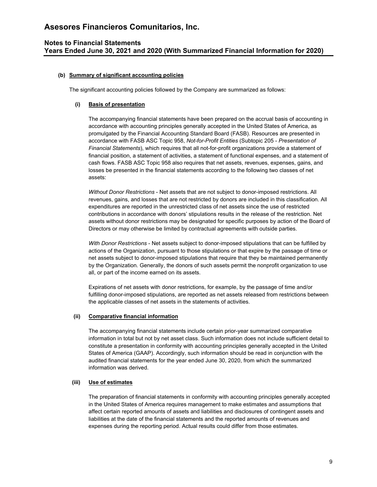### **Notes to Financial Statements Years Ended June 30, 2021 and 2020 (With Summarized Financial Information for 2020)**

#### **(b) Summary of significant accounting policies**

The significant accounting policies followed by the Company are summarized as follows:

#### **(i) Basis of presentation**

The accompanying financial statements have been prepared on the accrual basis of accounting in accordance with accounting principles generally accepted in the United States of America, as promulgated by the Financial Accounting Standard Board (FASB). Resources are presented in accordance with FASB ASC Topic 958, *Not-for-Profit Entities* (Subtopic 205 - *Presentation of Financial Statements*), which requires that all not-for-profit organizations provide a statement of financial position, a statement of activities, a statement of functional expenses, and a statement of cash flows. FASB ASC Topic 958 also requires that net assets, revenues, expenses, gains, and losses be presented in the financial statements according to the following two classes of net assets:

*Without Donor Restrictions* - Net assets that are not subject to donor-imposed restrictions. All revenues, gains, and losses that are not restricted by donors are included in this classification. All expenditures are reported in the unrestricted class of net assets since the use of restricted contributions in accordance with donors' stipulations results in the release of the restriction. Net assets without donor restrictions may be designated for specific purposes by action of the Board of Directors or may otherwise be limited by contractual agreements with outside parties.

*With Donor Restrictions* - Net assets subject to donor-imposed stipulations that can be fulfilled by actions of the Organization, pursuant to those stipulations or that expire by the passage of time or net assets subject to donor-imposed stipulations that require that they be maintained permanently by the Organization. Generally, the donors of such assets permit the nonprofit organization to use all, or part of the income earned on its assets.

Expirations of net assets with donor restrictions, for example, by the passage of time and/or fulfilling donor-imposed stipulations, are reported as net assets released from restrictions between the applicable classes of net assets in the statements of activities.

#### **(ii) Comparative financial information**

The accompanying financial statements include certain prior-year summarized comparative information in total but not by net asset class. Such information does not include sufficient detail to constitute a presentation in conformity with accounting principles generally accepted in the United States of America (GAAP). Accordingly, such information should be read in conjunction with the audited financial statements for the year ended June 30, 2020, from which the summarized information was derived.

#### **(iii) Use of estimates**

The preparation of financial statements in conformity with accounting principles generally accepted in the United States of America requires management to make estimates and assumptions that affect certain reported amounts of assets and liabilities and disclosures of contingent assets and liabilities at the date of the financial statements and the reported amounts of revenues and expenses during the reporting period. Actual results could differ from those estimates.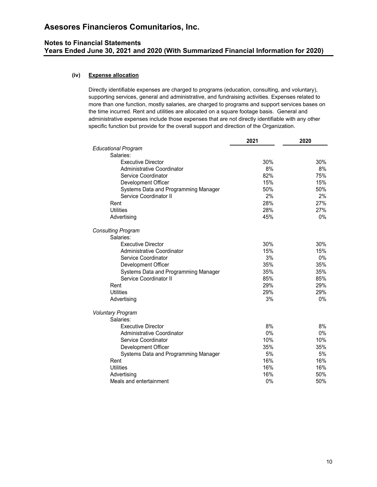### **Notes to Financial Statements Years Ended June 30, 2021 and 2020 (With Summarized Financial Information for 2020)**

### **(iv) Expense allocation**

Directly identifiable expenses are charged to programs (education, consulting, and voluntary), supporting services, general and administrative, and fundraising activities. Expenses related to more than one function, mostly salaries, are charged to programs and support services bases on the time incurred. Rent and utilities are allocated on a square footage basis. General and administrative expenses include those expenses that are not directly identifiable with any other specific function but provide for the overall support and direction of the Organization.

|                                      | 2021 | 2020  |
|--------------------------------------|------|-------|
| <b>Educational Program</b>           |      |       |
| Salaries:                            |      |       |
| <b>Executive Director</b>            | 30%  | 30%   |
| Administrative Coordinator           | 8%   | 8%    |
| Service Coordinator                  | 82%  | 75%   |
| Development Officer                  | 15%  | 15%   |
| Systems Data and Programming Manager | 50%  | 50%   |
| Service Coordinator II               | 2%   | 2%    |
| Rent                                 | 28%  | 27%   |
| <b>Utilities</b>                     | 28%  | 27%   |
| Advertising                          | 45%  | $0\%$ |
| <b>Consulting Program</b>            |      |       |
| Salaries:                            |      |       |
| <b>Executive Director</b>            | 30%  | 30%   |
| Administrative Coordinator           | 15%  | 15%   |
| Service Coordinator                  | 3%   | $0\%$ |
| Development Officer                  | 35%  | 35%   |
| Systems Data and Programming Manager | 35%  | 35%   |
| Service Coordinator II               | 85%  | 85%   |
| Rent                                 | 29%  | 29%   |
| <b>Utilities</b>                     | 29%  | 29%   |
| Advertising                          | 3%   | $0\%$ |
| <b>Voluntary Program</b>             |      |       |
| Salaries:                            |      |       |
| <b>Executive Director</b>            | 8%   | 8%    |
| Administrative Coordinator           | 0%   | 0%    |
| Service Coordinator                  | 10%  | 10%   |
| Development Officer                  | 35%  | 35%   |
| Systems Data and Programming Manager | 5%   | 5%    |
| Rent                                 | 16%  | 16%   |
| <b>Utilities</b>                     | 16%  | 16%   |
| Advertising                          | 16%  | 50%   |
| Meals and entertainment              | 0%   | 50%   |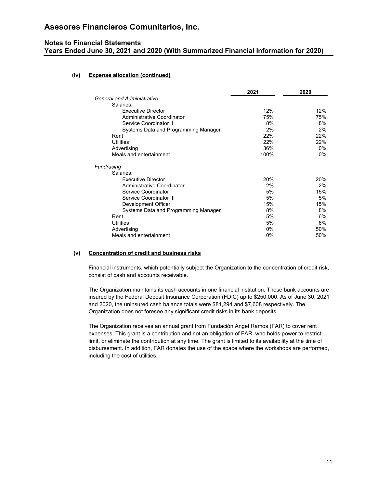### **Notes to Financial Statements Years Ended June 30, 2021 and 2020 (With Summarized Financial Information for 2020)**

#### **(iv) Expense allocation (continued)**

|                                      | 2021 | 2020  |  |
|--------------------------------------|------|-------|--|
| <b>General and Administrative</b>    |      |       |  |
| Salaries:                            |      |       |  |
| <b>Executive Director</b>            | 12%  | 12%   |  |
| Administrative Coordinator           | 75%  | 75%   |  |
| Service Coordinator II               | 8%   | 8%    |  |
| Systems Data and Programming Manager | 2%   | 2%    |  |
| Rent                                 | 22%  | 22%   |  |
| <b>Utilities</b>                     | 22%  | 22%   |  |
| Advertising                          | 36%  | $0\%$ |  |
| Meals and entertainment              | 100% | $0\%$ |  |
| Fundrasing                           |      |       |  |
| Salaries:                            |      |       |  |
| <b>Executive Director</b>            | 20%  | 20%   |  |
| Administrative Coordinator           | 2%   | 2%    |  |
| Service Coordinator                  | 5%   | 15%   |  |
| Service Coordinator II               | 5%   | 5%    |  |
| Development Officer                  | 15%  | 15%   |  |
| Systems Data and Programming Manager | 8%   | 8%    |  |
| Rent                                 | 5%   | 6%    |  |
| Utilities                            | 5%   | 6%    |  |
| Advertising                          | 0%   | 50%   |  |
| Meals and entertainment              | 0%   | 50%   |  |

#### **(v) Concentration of credit and business risks**

Financial instruments, which potentially subject the Organization to the concentration of credit risk, consist of cash and accounts receivable.

The Organization maintains its cash accounts in one financial institution. These bank accounts are insured by the Federal Deposit Insurance Corporation (FDIC) up to \$250,000. As of June 30, 2021 and 2020, the uninsured cash balance totals were \$81,294 and \$7,608 respectively. The Organization does not foresee any significant credit risks in its bank deposits.

The Organization receives an annual grant from Fundación Angel Ramos (FAR) to cover rent expenses. This grant is a contribution and not an obligation of FAR, who holds power to restrict, limit, or eliminate the contribution at any time. The grant is limited to its availability at the time of disbursement. In addition, FAR donates the use of the space where the workshops are performed, including the cost of utilities.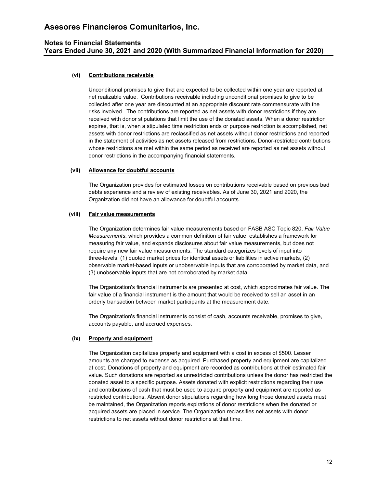### **Notes to Financial Statements Years Ended June 30, 2021 and 2020 (With Summarized Financial Information for 2020)**

#### **(vi) Contributions receivable**

Unconditional promises to give that are expected to be collected within one year are reported at net realizable value. Contributions receivable including unconditional promises to give to be collected after one year are discounted at an appropriate discount rate commensurate with the risks involved. The contributions are reported as net assets with donor restrictions if they are received with donor stipulations that limit the use of the donated assets. When a donor restriction expires, that is, when a stipulated time restriction ends or purpose restriction is accomplished, net assets with donor restrictions are reclassified as net assets without donor restrictions and reported in the statement of activities as net assets released from restrictions. Donor-restricted contributions whose restrictions are met within the same period as received are reported as net assets without donor restrictions in the accompanying financial statements.

#### **(vii) Allowance for doubtful accounts**

The Organization provides for estimated losses on contributions receivable based on previous bad debts experience and a review of existing receivables. As of June 30, 2021 and 2020, the Organization did not have an allowance for doubtful accounts.

#### **(viii) Fair value measurements**

The Organization determines fair value measurements based on FASB ASC Topic 820, *Fair Value Measurements*, which provides a common definition of fair value, establishes a framework for measuring fair value, and expands disclosures about fair value measurements, but does not require any new fair value measurements. The standard categorizes levels of input into three-levels: (1) quoted market prices for identical assets or liabilities in active markets, (2) observable market-based inputs or unobservable inputs that are corroborated by market data, and (3) unobservable inputs that are not corroborated by market data.

The Organization's financial instruments are presented at cost, which approximates fair value. The fair value of a financial instrument is the amount that would be received to sell an asset in an orderly transaction between market participants at the measurement date.

The Organization's financial instruments consist of cash, accounts receivable, promises to give, accounts payable, and accrued expenses.

#### **(ix) Property and equipment**

The Organization capitalizes property and equipment with a cost in excess of \$500. Lesser amounts are charged to expense as acquired. Purchased property and equipment are capitalized at cost. Donations of property and equipment are recorded as contributions at their estimated fair value. Such donations are reported as unrestricted contributions unless the donor has restricted the donated asset to a specific purpose. Assets donated with explicit restrictions regarding their use and contributions of cash that must be used to acquire property and equipment are reported as restricted contributions. Absent donor stipulations regarding how long those donated assets must be maintained, the Organization reports expirations of donor restrictions when the donated or acquired assets are placed in service. The Organization reclassifies net assets with donor restrictions to net assets without donor restrictions at that time.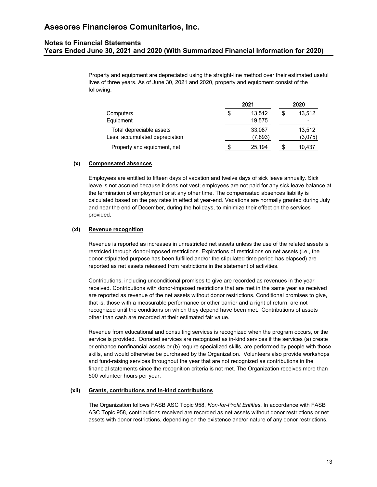### **Notes to Financial Statements Years Ended June 30, 2021 and 2020 (With Summarized Financial Information for 2020)**

Property and equipment are depreciated using the straight-line method over their estimated useful lives of three years. As of June 30, 2021 and 2020, property and equipment consist of the following:

|                                                            |   | 2021              | 2020 |                   |  |  |
|------------------------------------------------------------|---|-------------------|------|-------------------|--|--|
| Computers<br>Equipment                                     | S | 13,512<br>19,575  | S    | 13,512            |  |  |
| Total depreciable assets<br>Less: accumulated depreciation |   | 33,087<br>(7,893) |      | 13,512<br>(3,075) |  |  |
| Property and equipment, net                                |   | 25,194            |      | 10.437            |  |  |

#### **(x) Compensated absences**

Employees are entitled to fifteen days of vacation and twelve days of sick leave annually. Sick leave is not accrued because it does not vest; employees are not paid for any sick leave balance at the termination of employment or at any other time. The compensated absences liability is calculated based on the pay rates in effect at year-end. Vacations are normally granted during July and near the end of December, during the holidays, to minimize their effect on the services provided.

#### **(xi) Revenue recognition**

Revenue is reported as increases in unrestricted net assets unless the use of the related assets is restricted through donor-imposed restrictions. Expirations of restrictions on net assets (i.e., the donor-stipulated purpose has been fulfilled and/or the stipulated time period has elapsed) are reported as net assets released from restrictions in the statement of activities.

Contributions, including unconditional promises to give are recorded as revenues in the year received. Contributions with donor-imposed restrictions that are met in the same year as received are reported as revenue of the net assets without donor restrictions. Conditional promises to give, that is, those with a measurable performance or other barrier and a right of return, are not recognized until the conditions on which they depend have been met. Contributions of assets other than cash are recorded at their estimated fair value.

Revenue from educational and consulting services is recognized when the program occurs, or the service is provided. Donated services are recognized as in-kind services if the services (a) create or enhance nonfinancial assets or (b) require specialized skills, are performed by people with those skills, and would otherwise be purchased by the Organization. Volunteers also provide workshops and fund-raising services throughout the year that are not recognized as contributions in the financial statements since the recognition criteria is not met. The Organization receives more than 500 volunteer hours per year.

#### **(xii) Grants, contributions and in-kind contributions**

The Organization follows FASB ASC Topic 958, *Non-for-Profit Entities*. In accordance with FASB ASC Topic 958, contributions received are recorded as net assets without donor restrictions or net assets with donor restrictions, depending on the existence and/or nature of any donor restrictions.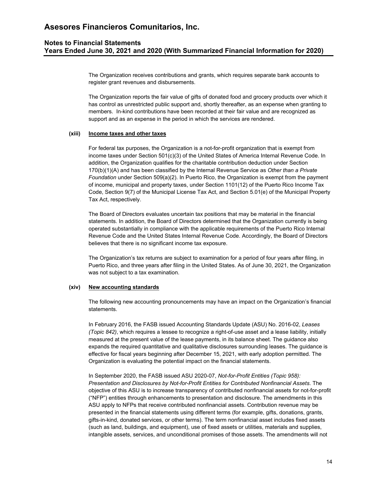### **Notes to Financial Statements Years Ended June 30, 2021 and 2020 (With Summarized Financial Information for 2020)**

The Organization receives contributions and grants, which requires separate bank accounts to register grant revenues and disbursements.

The Organization reports the fair value of gifts of donated food and grocery products over which it has control as unrestricted public support and, shortly thereafter, as an expense when granting to members. In-kind contributions have been recorded at their fair value and are recognized as support and as an expense in the period in which the services are rendered.

#### **(xiii) Income taxes and other taxes**

For federal tax purposes, the Organization is a not-for-profit organization that is exempt from income taxes under Section 501(c)(3) of the United States of America Internal Revenue Code. In addition, the Organization qualifies for the charitable contribution deduction under Section 170(b)(1)(A) and has been classified by the Internal Revenue Service as *Other than a Private Foundation* under Section 509(a)(2). In Puerto Rico, the Organization is exempt from the payment of income, municipal and property taxes, under Section 1101(12) of the Puerto Rico Income Tax Code, Section 9(7) of the Municipal License Tax Act, and Section 5.01(e) of the Municipal Property Tax Act, respectively.

The Board of Directors evaluates uncertain tax positions that may be material in the financial statements. In addition, the Board of Directors determined that the Organization currently is being operated substantially in compliance with the applicable requirements of the Puerto Rico Internal Revenue Code and the United States Internal Revenue Code. Accordingly, the Board of Directors believes that there is no significant income tax exposure.

The Organization's tax returns are subject to examination for a period of four years after filing, in Puerto Rico, and three years after filing in the United States. As of June 30, 2021, the Organization was not subject to a tax examination.

#### **(xiv) New accounting standards**

The following new accounting pronouncements may have an impact on the Organization's financial statements.

In February 2016, the FASB issued Accounting Standards Update (ASU) No. 2016-02, *Leases (Topic 842)*, which requires a lessee to recognize a right-of-use asset and a lease liability, initially measured at the present value of the lease payments, in its balance sheet. The guidance also expands the required quantitative and qualitative disclosures surrounding leases. The guidance is effective for fiscal years beginning after December 15, 2021, with early adoption permitted. The Organization is evaluating the potential impact on the financial statements.

In September 2020, the FASB issued ASU 2020-07, *Not-for-Profit Entities (Topic 958): Presentation and Disclosures by Not-for-Profit Entities for Contributed Nonfinancial Assets*. The objective of this ASU is to increase transparency of contributed nonfinancial assets for not-for-profit ("NFP") entities through enhancements to presentation and disclosure. The amendments in this ASU apply to NFPs that receive contributed nonfinancial assets. Contribution revenue may be presented in the financial statements using different terms (for example, gifts, donations, grants, gifts-in-kind, donated services, or other terms). The term nonfinancial asset includes fixed assets (such as land, buildings, and equipment), use of fixed assets or utilities, materials and supplies, intangible assets, services, and unconditional promises of those assets. The amendments will not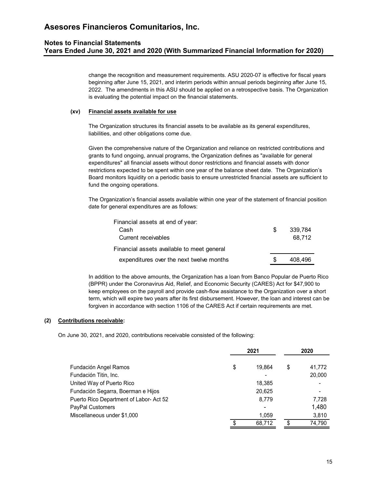### **Notes to Financial Statements Years Ended June 30, 2021 and 2020 (With Summarized Financial Information for 2020)**

change the recognition and measurement requirements. ASU 2020-07 is effective for fiscal years beginning after June 15, 2021, and interim periods within annual periods beginning after June 15, 2022. The amendments in this ASU should be applied on a retrospective basis. The Organization is evaluating the potential impact on the financial statements.

#### **(xv) Financial assets available for use**

The Organization structures its financial assets to be available as its general expenditures, liabilities, and other obligations come due.

Given the comprehensive nature of the Organization and reliance on restricted contributions and grants to fund ongoing, annual programs, the Organization defines as "available for general expenditures" all financial assets without donor restrictions and financial assets with donor restrictions expected to be spent within one year of the balance sheet date. The Organization's Board monitors liquidity on a periodic basis to ensure unrestricted financial assets are sufficient to fund the ongoing operations.

The Organization's financial assets available within one year of the statement of financial position date for general expenditures are as follows:

| Financial assets at end of year:           |   |         |
|--------------------------------------------|---|---------|
| Cash                                       | S | 339.784 |
| Current receivables                        |   | 68.712  |
| Financial assets available to meet general |   |         |
| expenditures over the next twelve months   |   | 408.496 |

In addition to the above amounts, the Organization has a loan from Banco Popular de Puerto Rico (BPPR) under the Coronavirus Aid, Relief, and Economic Security (CARES) Act for \$47,900 to keep employees on the payroll and provide cash-flow assistance to the Organization over a short term, which will expire two years after its first disbursement. However, the loan and interest can be forgiven in accordance with section 1106 of the CARES Act if certain requirements are met.

#### **(2) Contributions receivable:**

On June 30, 2021, and 2020, contributions receivable consisted of the following:

|                                         | 2021 |        |    | 2020   |  |  |
|-----------------------------------------|------|--------|----|--------|--|--|
| Fundación Angel Ramos                   | \$   | 19.864 | \$ | 41,772 |  |  |
| Fundación Titin, Inc.                   |      |        |    | 20,000 |  |  |
| United Way of Puerto Rico               |      | 18,385 |    |        |  |  |
| Fundación Segarra, Boerman e Hijos      |      | 20,625 |    |        |  |  |
| Puerto Rico Department of Labor- Act 52 |      | 8,779  |    | 7,728  |  |  |
| PayPal Customers                        |      |        |    | 1,480  |  |  |
| Miscellaneous under \$1,000             |      | 1,059  |    | 3,810  |  |  |
|                                         |      | 68,712 |    | 74,790 |  |  |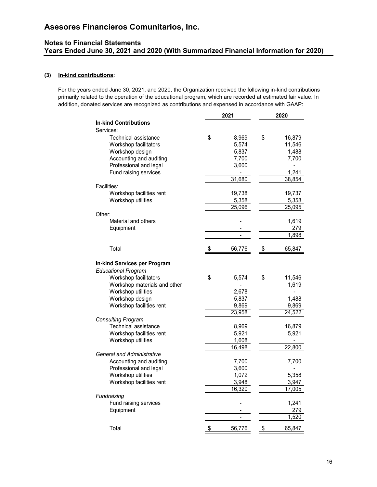### **Notes to Financial Statements Years Ended June 30, 2021 and 2020 (With Summarized Financial Information for 2020)**

### **(3) In-kind contributions:**

For the years ended June 30, 2021, and 2020, the Organization received the following in-kind contributions primarily related to the operation of the educational program, which are recorded at estimated fair value. In addition, donated services are recognized as contributions and expensed in accordance with GAAP:

|                                   | 2021 |        | 2020 |                              |
|-----------------------------------|------|--------|------|------------------------------|
| <b>In-kind Contributions</b>      |      |        |      |                              |
| Services:                         |      |        |      |                              |
| Technical assistance              | \$   | 8,969  | \$   | 16,879                       |
| Workshop facilitators             |      | 5,574  |      | 11,546                       |
| Workshop design                   |      | 5,837  |      | 1,488                        |
| Accounting and auditing           |      | 7,700  |      | 7,700                        |
| Professional and legal            |      | 3,600  |      |                              |
| Fund raising services             |      |        |      | 1,241                        |
| Facilities:                       |      | 31,680 |      | 38,854                       |
| Workshop facilities rent          |      | 19,738 |      | 19,737                       |
| Workshop utilities                |      | 5,358  |      | 5,358                        |
|                                   |      | 25,096 |      | 25,095                       |
| Other:                            |      |        |      |                              |
| Material and others               |      |        |      | 1,619                        |
| Equipment                         |      |        |      | 279                          |
|                                   |      |        |      | 1,898                        |
|                                   |      |        |      |                              |
| Total                             | \$   | 56,776 | \$   | 65,847                       |
| In-kind Services per Program      |      |        |      |                              |
| <b>Educational Program</b>        |      |        |      |                              |
| Workshop facilitators             | \$   | 5,574  | \$   | 11,546                       |
| Workshop materials and other      |      |        |      | 1,619                        |
| Workshop utilities                |      | 2,678  |      | $\qquad \qquad \blacksquare$ |
| Workshop design                   |      | 5,837  |      | 1,488                        |
| Workshop facilities rent          |      | 9,869  |      | 9,869                        |
|                                   |      | 23,958 |      | 24,522                       |
| <b>Consulting Program</b>         |      |        |      |                              |
| Technical assistance              |      | 8,969  |      | 16,879                       |
| Workshop facilities rent          |      | 5,921  |      | 5,921                        |
| Workshop utilities                |      | 1,608  |      |                              |
| <b>General and Administrative</b> |      | 16,498 |      | 22,800                       |
| Accounting and auditing           |      | 7,700  |      | 7,700                        |
| Professional and legal            |      | 3,600  |      | ä,                           |
| Workshop utilities                |      | 1,072  |      | 5,358                        |
| Workshop facilities rent          |      | 3,948  |      | 3,947                        |
|                                   |      | 16,320 |      | 17,005                       |
| Fundraising                       |      |        |      |                              |
| Fund raising services             |      |        |      | 1,241                        |
| Equipment                         |      |        |      | 279                          |
|                                   |      |        |      | 1,520                        |
| Total                             | \$   | 56,776 | \$   | 65,847                       |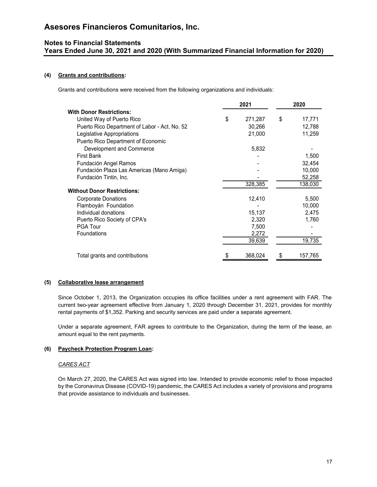### **Notes to Financial Statements Years Ended June 30, 2021 and 2020 (With Summarized Financial Information for 2020)**

### **(4) Grants and contributions:**

Grants and contributions were received from the following organizations and individuals:

|                                               |    | 2021    | 2020          |
|-----------------------------------------------|----|---------|---------------|
| With Donor Restrictions:                      |    |         |               |
| United Way of Puerto Rico                     | \$ | 271,287 | \$<br>17,771  |
| Puerto Rico Department of Labor - Act. No. 52 |    | 30,266  | 12,788        |
| Legislative Appropriations                    |    | 21,000  | 11,259        |
| Puerto Rico Department of Economic            |    |         |               |
| Development and Commerce                      |    | 5,832   |               |
| First Bank                                    |    |         | 1,500         |
| Fundación Angel Ramos                         |    |         | 32,454        |
| Fundación Plaza Las Americas (Mano Amiga)     |    |         | 10,000        |
| Fundación Tintin, Inc.                        |    |         | 52,258        |
|                                               |    | 328,385 | 138,030       |
| Without Donor Restrictions:                   |    |         |               |
| <b>Corporate Donations</b>                    |    | 12,410  | 5,500         |
| Flamboyán Foundation                          |    |         | 10,000        |
| Individual donations                          |    | 15,137  | 2,475         |
| Puerto Rico Society of CPA's                  |    | 2,320   | 1,760         |
| <b>PGA Tour</b>                               |    | 7,500   |               |
| Foundations                                   |    | 2,272   |               |
|                                               |    | 39,639  | 19,735        |
| Total grants and contributions                | S  | 368,024 | \$<br>157,765 |

#### **(5) Collaborative lease arrangement**

Since October 1, 2013, the Organization occupies its office facilities under a rent agreement with FAR. The current two-year agreement effective from January 1, 2020 through December 31, 2021, provides for monthly rental payments of \$1,352. Parking and security services are paid under a separate agreement.

Under a separate agreement, FAR agrees to contribute to the Organization, during the term of the lease, an amount equal to the rent payments.

#### **(6) Paycheck Protection Program Loan:**

#### *CARES ACT*

On March 27, 2020, the CARES Act was signed into law. Intended to provide economic relief to those impacted by the Coronavirus Disease (COVID-19) pandemic, the CARES Act includes a variety of provisions and programs that provide assistance to individuals and businesses.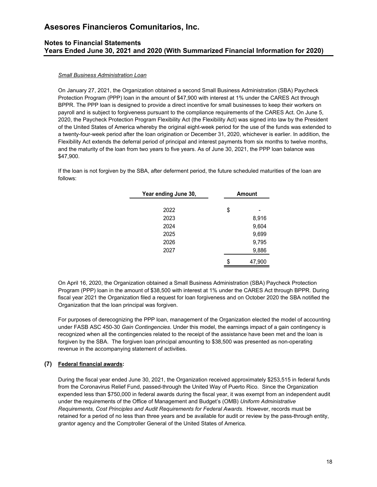## **Notes to Financial Statements Years Ended June 30, 2021 and 2020 (With Summarized Financial Information for 2020)**

#### *Small Business Administration Loan*

On January 27, 2021, the Organization obtained a second Small Business Administration (SBA) Paycheck Protection Program (PPP) loan in the amount of \$47,900 with interest at 1% under the CARES Act through BPPR. The PPP loan is designed to provide a direct incentive for small businesses to keep their workers on payroll and is subject to forgiveness pursuant to the compliance requirements of the CARES Act. On June 5, 2020, the Paycheck Protection Program Flexibility Act (the Flexibility Act) was signed into law by the President of the United States of America whereby the original eight-week period for the use of the funds was extended to a twenty-four-week period after the loan origination or December 31, 2020, whichever is earlier. In addition, the Flexibility Act extends the deferral period of principal and interest payments from six months to twelve months, and the maturity of the loan from two years to five years. As of June 30, 2021, the PPP loan balance was \$47,900.

If the loan is not forgiven by the SBA, after deferment period, the future scheduled maturities of the loan are follows:

| Year ending June 30, | Amount       |  |  |
|----------------------|--------------|--|--|
|                      |              |  |  |
| 2022                 | \$           |  |  |
| 2023                 | 8,916        |  |  |
| 2024                 | 9,604        |  |  |
| 2025                 | 9,699        |  |  |
| 2026                 | 9,795        |  |  |
| 2027                 | 9,886        |  |  |
|                      | \$<br>47,900 |  |  |

On April 16, 2020, the Organization obtained a Small Business Administration (SBA) Paycheck Protection Program (PPP) loan in the amount of \$38,500 with interest at 1% under the CARES Act through BPPR. During fiscal year 2021 the Organization filed a request for loan forgiveness and on October 2020 the SBA notified the Organization that the loan principal was forgiven.

For purposes of derecognizing the PPP loan, management of the Organization elected the model of accounting under FASB ASC 450-30 *Gain Contingencies*. Under this model, the earnings impact of a gain contingency is recognized when all the contingencies related to the receipt of the assistance have been met and the loan is forgiven by the SBA. The forgiven loan principal amounting to \$38,500 was presented as non-operating revenue in the accompanying statement of activities.

### **(7) Federal financial awards:**

During the fiscal year ended June 30, 2021, the Organization received approximately \$253,515 in federal funds from the Coronavirus Relief Fund, passed-through the United Way of Puerto Rico. Since the Organization expended less than \$750,000 in federal awards during the fiscal year, it was exempt from an independent audit under the requirements of the Office of Management and Budget's (OMB) *Uniform Administrative Requirements, Cost Principles and Audit Requirements for Federal Awards*. However, records must be retained for a period of no less than three years and be available for audit or review by the pass-through entity, grantor agency and the Comptroller General of the United States of America.